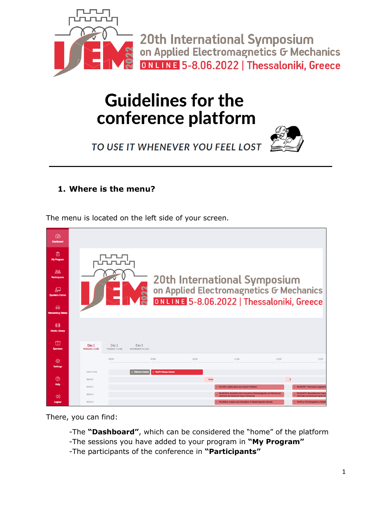

# **Guidelines for the** conference platform



TO USE IT WHENEVER YOU FEEL LOST

# **1. Where is the menu?**

The menu is located on the left side of your screen.



There, you can find:

-The **"Dashboard"**, which can be considered the "home" of the platform -The sessions you have added to your program in **"My Program"** -The participants of the conference in **"Participants"**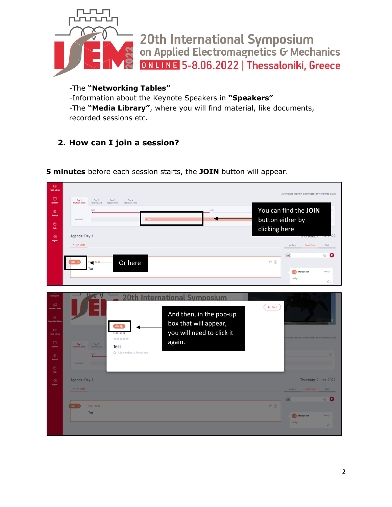

20th International Symposium<br>on Applied Electromagnetics G Mechanics ONLINE 5-8.06.2022 | Thessaloniki, Greece

## -The **"Networking Tables"**

-Information about the Keynote Speakers in **"Speakers"**

-The **"Media Library"**, where you will find material, like documents, recorded sessions etc.

# **2. How can I join a session?**

**5 minutes** before each session starts, the **JOIN** button will appear.

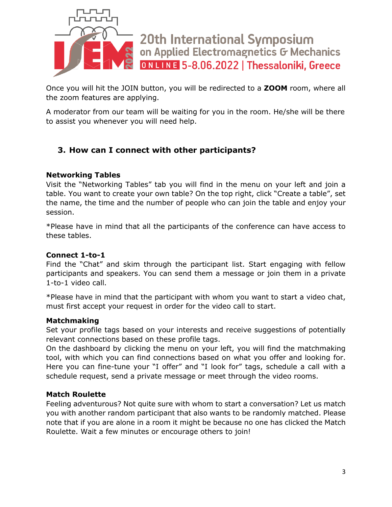

20th International Symposium on Applied Electromagnetics G Mechanics ONLINE 5-8.06.2022 | Thessaloniki, Greece

Once you will hit the JOIN button, you will be redirected to a **ZOOM** room, where all the zoom features are applying.

A moderator from our team will be waiting for you in the room. He/she will be there to assist you whenever you will need help.

## **3. How can I connect with other participants?**

### **Networking Tables**

Visit the "Networking Tables" tab you will find in the menu on your left and join a table. You want to create your own table? On the top right, click "Create a table", set the name, the time and the number of people who can join the table and enjoy your session.

\*Please have in mind that all the participants of the conference can have access to these tables.

#### **Connect 1-to-1**

Find the "Chat" and skim through the participant list. Start engaging with fellow participants and speakers. You can send them a message or join them in a private 1-to-1 video call.

\*Please have in mind that the participant with whom you want to start a video chat, must first accept your request in order for the video call to start.

## **Matchmaking**

Set your profile tags based on your interests and receive suggestions of potentially relevant connections based on these profile tags.

On the dashboard by clicking the menu on your left, you will find the matchmaking tool, with which you can find connections based on what you offer and looking for. Here you can fine-tune your "I offer" and "I look for" tags, schedule a call with a schedule request, send a private message or meet through the video rooms.

## **Match Roulette**

Feeling adventurous? Not quite sure with whom to start a conversation? Let us match you with another random participant that also wants to be randomly matched. Please note that if you are alone in a room it might be because no one has clicked the Match Roulette. Wait a few minutes or encourage others to join!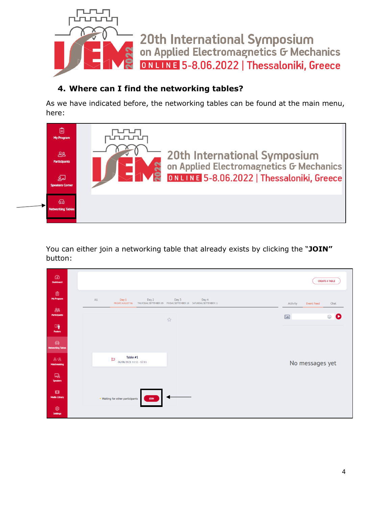

## **4. Where can I find the networking tables?**

As we have indicated before, the networking tables can be found at the main menu, here:



You can either join a networking table that already exists by clicking the "**JOIN"** button:

| $\circledcirc$<br><b>Dashboard</b>                        |                                                                                                                                    | <b>CREATE A TABLE</b>                 |
|-----------------------------------------------------------|------------------------------------------------------------------------------------------------------------------------------------|---------------------------------------|
| 自<br>My Program                                           | All<br>Day 2<br>Day 3<br>Day 1<br>Day 4<br>FRIDAY, AUGUST 06<br>THURSDAY, SEPTEMBER 09 FRIDAY, SEPTEMBER 10 SATURDAY, SEPTEMBER 11 | Activity<br><b>Event Feed</b><br>Chat |
| ஆ<br><b>Participants</b><br>$\Box$                        | $\sqrt[3]{}$                                                                                                                       | $\Xi$<br>o<br>$\odot$                 |
| <b>Posters</b><br>$\bigoplus$<br><b>Networking Tables</b> |                                                                                                                                    |                                       |
| $8 - 8$<br>Matchmaking                                    | Table #1<br>U<br>06/08/2021 11:11 - 12:11                                                                                          | No messages yet                       |
| 區<br><b>Speakers</b>                                      |                                                                                                                                    |                                       |
| $\qquad \qquad \blacksquare$<br><b>Media Library</b>      | • Waiting for other participants<br><b>JOIN</b>                                                                                    |                                       |
| ශ<br><b>Settings</b>                                      |                                                                                                                                    |                                       |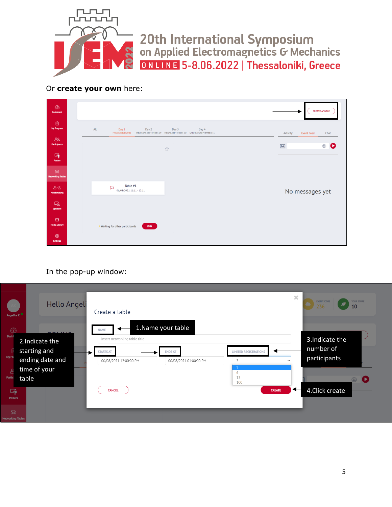

20th International Symposium<br>on Applied Electromagnetics & Mechanics<br>ONLINE 5-8.06.2022 | Thessaloniki, Greece

#### Or **create your own** here:

| $\circledcirc$<br><b>Dashboard</b>         |                                                                                                                                    | <b>CREATE A TABLE</b>                 |
|--------------------------------------------|------------------------------------------------------------------------------------------------------------------------------------|---------------------------------------|
| 自<br><b>My Program</b>                     | All<br>Day 2<br>Day 3<br>Day 1<br>Day 4<br>THURSDAY, SEPTEMBER 09 FRIDAY, SEPTEMBER 10 SATURDAY, SEPTEMBER 11<br>FRIDAY, AUGUST 06 | Activity<br><b>Event Feed</b><br>Chat |
| ஆ<br><b>Participants</b>                   | ☆                                                                                                                                  | Q<br>$\Xi$<br>$\odot$                 |
| $\Box$<br><b>Posters</b>                   |                                                                                                                                    |                                       |
| $\bigoplus$<br><b>Networking Tables</b>    |                                                                                                                                    |                                       |
| $A^*A$<br>Matchmaking                      | Table #1<br>$\overline{u}$<br>06/08/2021 11:11 - 12:11                                                                             | No messages yet                       |
| $\overline{\mathbb{L}}$<br><b>Speakers</b> |                                                                                                                                    |                                       |
| $\blacksquare$<br><b>Media Library</b>     | • Waiting for other participants<br><b>JOIN</b>                                                                                    |                                       |
| ශ<br><b>Settings</b>                       |                                                                                                                                    |                                       |

#### In the pop-up window:

| <b>Hello Angeli</b><br>Angelika K.                                                                                                                                                                            | Create a table                                                                                              |                                                                |                                                                                                           | $\boldsymbol{\mathcal{X}}$<br><b>YOUR SCORE</b><br><b>EVENT SCORE</b><br>236<br>10 |
|---------------------------------------------------------------------------------------------------------------------------------------------------------------------------------------------------------------|-------------------------------------------------------------------------------------------------------------|----------------------------------------------------------------|-----------------------------------------------------------------------------------------------------------|------------------------------------------------------------------------------------|
| $\circled{3}$<br>QPLAUB<br>Dash<br>2. Indicate the<br>starting and<br>My Pn<br>ending date and<br>time of your<br>e<br>Partic<br>table<br>$\Box$<br><b>Posters</b><br>$\bigoplus$<br><b>Networking Tables</b> | <b>NAME</b><br>Insert networking table title<br><b>STARTS AT</b><br>06/08/2021 12:00:00 PM<br><b>CANCEL</b> | 1. Name your table<br><b>ENDS AT</b><br>06/08/2021 01:00:00 PM | <b>LIMITED REGISTRATIONS</b><br>$\overline{2}$<br>6<br>12<br>100<br><b>CREATE</b><br>$\ddot{\phantom{1}}$ | 3. Indicate the<br>number of<br>participants<br>$\odot$<br>4.Click create          |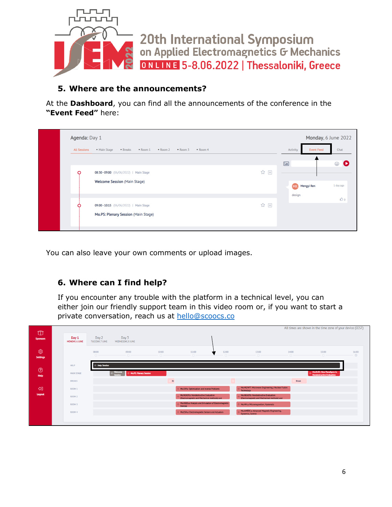

## **5. Where are the announcements?**

At the **Dashboard**, you can find all the announcements of the conference in the **"Event Feed"** here:

| Agenda: Day 1       |                                                                                          | Monday, 6 June 2022 |                                |           |
|---------------------|------------------------------------------------------------------------------------------|---------------------|--------------------------------|-----------|
| <b>All Sessions</b> | • Main Stage<br>• Room 2<br>• Breaks<br>$\bullet$ Room 1<br>$\bullet$ Room 3<br>• Room 4 |                     | Activity<br><b>Event Feed</b>  | Chat      |
|                     |                                                                                          |                     | $\boxed{\color{blue}\text{ }}$ | (* *)     |
| o                   | 08:30 - 09:00 (06/06/2022)   Main Stage                                                  | ☆ 田                 |                                |           |
|                     | Welcome Session (Main Stage)                                                             |                     | Mengyi Ren<br>(MR)             | 1 day ago |
|                     |                                                                                          |                     | design                         | ⊙ ∂       |
|                     | 09:00 - 10:15 (06/06/2022)   Main Stage                                                  | ☆ 田                 |                                |           |
|                     | Mo.PS: Plenary Session (Main Stage)                                                      |                     |                                |           |

You can also leave your own comments or upload images.

# **6. Where can I find help?**

If you encounter any trouble with the platform in a technical level, you can either join our friendly support team in this video room or, if you want to start a private conversation, reach us at [hello@scoocs.co](mailto:hello@scoocs.co)

| tīd                  |                                |                          |                                     |       |                                                                                       |       |                                                                                       |                              | All times are shown in the time zone of your device (EEST) |                  |
|----------------------|--------------------------------|--------------------------|-------------------------------------|-------|---------------------------------------------------------------------------------------|-------|---------------------------------------------------------------------------------------|------------------------------|------------------------------------------------------------|------------------|
| <b>Sponsors</b>      | Day 1<br><b>MONDAY, 6 JUNE</b> | Day 2<br>TUESDAY, 7 JUNE | Day 3<br>WEDNESDAY, 8 JUNE          |       |                                                                                       |       |                                                                                       |                              |                                                            |                  |
| ශ<br><b>Settings</b> |                                | 08:00<br>$\circ$         | 09:00<br>$ \circ$ $-$               | 10:00 | 11:00<br>$ \circ$ -                                                                   | 12:00 | 13:00<br>$\circ$ -                                                                    | 14:00<br>$\cdot$ $\circ$ $-$ | 15:00<br>$\cdot$ $\circ$ -                                 | 16:00<br>$\circ$ |
| $\odot$              | <b>HELP</b>                    | O Help Session           |                                     |       |                                                                                       |       |                                                                                       |                              |                                                            |                  |
| Help                 | <b>MAIN STAGE</b>              |                          | felcome<br>O Mo.PS: Plenary Session |       |                                                                                       |       |                                                                                       |                              | Mo.KL01: New Paradigms in<br>Nondestructive Evaluation     |                  |
|                      | <b>BREAKS</b>                  |                          |                                     |       | Br                                                                                    |       |                                                                                       | <b>Break</b>                 |                                                            |                  |
| ආ                    | ROOM 1                         |                          |                                     |       | O Mo.OIP.a: Optimization and Inverse Problems                                         |       | Mo.ME/NFT: Microwave Engineering / Nuclear Fusion<br>Technology                       |                              |                                                            |                  |
| Logout               | ROOM <sub>2</sub>              |                          |                                     |       | Mo.NEASP.a: Nondestructive Evaluation<br>(Electromagnetic and Mechanical methods) and |       | Mo.NEASP.b: Nondestructive Evaluation<br>(Electromagnetic and Mechanical methods) and |                              |                                                            |                  |
|                      | ROOM 3                         |                          |                                     |       | Mo.ASED.a: Analysis and Simulation of Electromagnetic<br><b>Devices</b>               |       | O Mo.MH.a: Micromagnetism, Hysteresis                                                 |                              |                                                            |                  |
|                      | ROOM 4                         |                          |                                     |       | O Mo.ESA.a: Electromagnetic Sensors and Actuators                                     |       | Mo.AMEDC.a: Advanced Magnetic Engineering,<br><b>Dynamics, Control</b>                |                              |                                                            |                  |
|                      |                                |                          |                                     |       |                                                                                       |       |                                                                                       |                              |                                                            |                  |